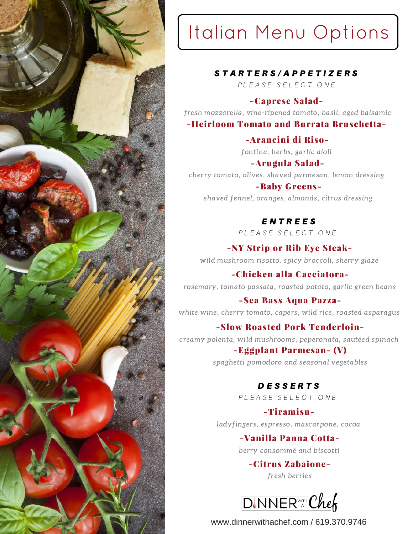

# Italian Menu Options

#### S T A R T E R S / A P P E T I Z E R S

PLEASE SELECT ONE

#### -Caprese Salad-

fresh mozzarella, vine-ripened tomato, basil, aged balsamic

#### -Heirloom Tomato and Burrata Bruschetta-

-Arancini di Riso-

fontina, herbs, garlic aioli

-Arugula Salad-

cherry tomato, olives, shaved parmesan, lemon dressing

#### -Baby Greens-

shaved fennel, oranges, almonds, citrus dressing

#### E N T R E E S

PLEASE SELECT ONE

-NY Strip or Rib Eye Steakwild mushroom risotto, spicy broccoli, sherry glaze

-Chicken alla Cacciatorarosemary, tomato passata, roasted potato, garlic green beans

-Sea Bass Aqua Pazza-

white wine, cherry tomato, capers, wild rice, roasted asparagus

#### -Slow Roasted Pork Tenderloin-

creamy polenta, wild mushrooms, peperonata, sautéed spinach

#### -Eggplant Parmesan- (V)

spaghetti pomodoro and seasonal vegetables

#### D E S S E R T S

PLEASE SELECT ONE

#### -Tiramisu-

ladyfingers, espresso, mascarpone, cocoa

#### -Vanilla Panna Cotta-

berry consommé and biscotti

-Citrus Zabaionefresh berries

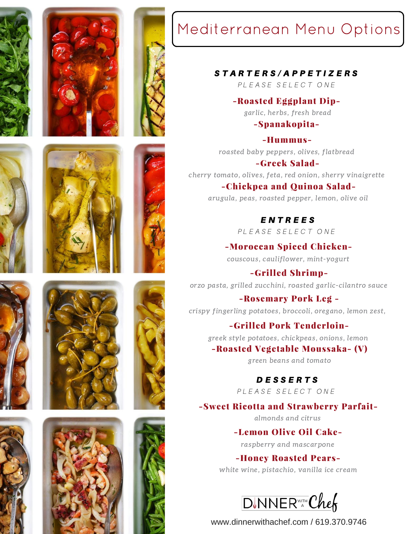





## Mediterranean Menu Options

#### S T A R T E R S / A P P E T I Z E R S

PLEASE SELECT ONE

-Roasted Eggplant Dipgarlic, herbs, fresh bread

-Spanakopita-

-Hummusroasted baby peppers, olives, flatbread

-Greek Saladcherry tomato, olives, feta, red onion, sherry vinaigrette

-Chickpea and Quinoa Saladarugula, peas, roasted pepper, lemon, olive oil

> E N T R E E S PLEASE SELECT ONE

-Moroccan Spiced Chickencouscous, cauliflower, mint-yogurt

-Grilled Shrimporzo pasta, grilled zucchini, roasted garlic-cilantro sauce

-Rosemary Pork Leg crispy fingerling potatoes, broccoli, oregano, lemon zest,

### -Grilled Pork Tenderloin-

greek style potatoes, chickpeas, onions, lemon

-Roasted Vegetable Moussaka- (V)

green beans and tomato

D E S S E R T S

PLEASE SELECT ONE

-Sweet Ricotta and Strawberry Parfait-

almonds and citrus

-Lemon Olive Oil Cakeraspberry and mascarpone

-Honey Roasted Pears-

white wine, pistachio, vanilla ice cream

















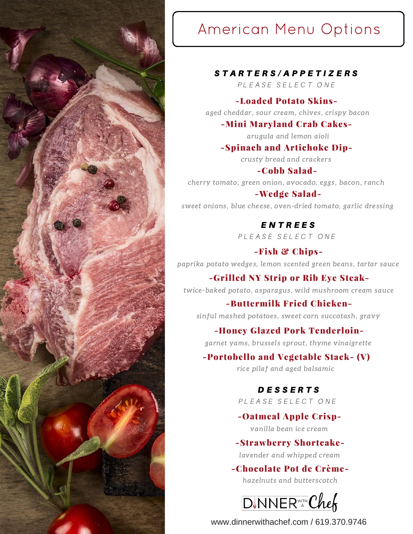

## American Menu Options

#### STARTERS/APPETIZERS

PLEASE SELECT ONE

#### -Loaded Potato Skins-

aged cheddar, sour cream, chives, crispy bacon

#### -Mini Maryland Crab Cakes-

arugula and lemon aioli

#### -Spinach and Artichoke Dip-

crusty bread and crackers

#### -Cobb Salad-

cherry tomato, green onion, avocado, eggs, bacon, ranch

#### -Wedge Salad-

sweet onions, blue cheese, oven-dried tomato, garlic dressing

### E N T R E E S

PLEASE SELECT ONE

#### -Fish & Chips-

paprika potato wedges, lemon scented green beans, tartar sauce

#### -Grilled NY Strip or Rib Eye Steak-

twice-baked potato, asparagus, wild mushroom cream sauce

#### -Buttermilk Fried Chicken-

sinful mashed potatoes, sweet corn succotash, gravy

#### -Honey Glazed Pork Tenderloin-

garnet yams, brussels sprout, thyme vinaigrette

#### -Portobello and Vegetable Stack- (V)

rice pilaf and aged balsamic

#### D E S S E R T S

PLEASE SELECT ONE

#### -Oatmeal Apple Crispvanilla bean ice cream

#### -Strawberry Shortcake-

lavender and whipped cream

### -Chocolate Pot de Crème-

hazelnuts and butterscotch

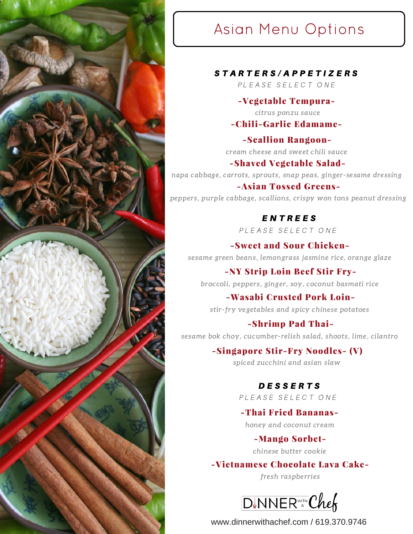

## Asian Menu Options

S T A R T E R S / A P P E T I Z E R S

PLEASE SELECT ONE

#### -Vegetable Tempura-

citrus ponzu sauce

#### -Chili-Garlic Edamame-

-Scallion Rangooncream cheese and sweet chili sauce

-Shaved Vegetable Salad-

napa cabbage, carrots, sprouts, snap peas, ginger-sesame dressing

#### -Asian Tossed Greens-

peppers, purple cabbage, scallions, crispy won tons peanut dressing

#### E N T R E E S

PLEASE SELECT ONE

-Sweet and Sour Chickensesame green beans, lemongrass jasmine rice, orange glaze

-NY Strip Loin Beef Stir Frybroccoli, peppers, ginger, soy, coconut basmati rice

-Wasabi Crusted Pork Loin-

stir-fry vegetables and spicy chinese potatoes

#### -Shrimp Pad Thai-

sesame bok choy, cucumber-relish salad, shoots, lime, cilantro

#### -Singapore Stir-Fry Noodles- (V)

spiced zucchini and asian slaw

#### D E S S E R T S

PLEASE SELECT ONE

-Thai Fried Bananas-

honey and coconut cream

#### -Mango Sorbet-

chinese butter cookie

-Vietnamese Chocolate Lava Cake-

fresh raspberries